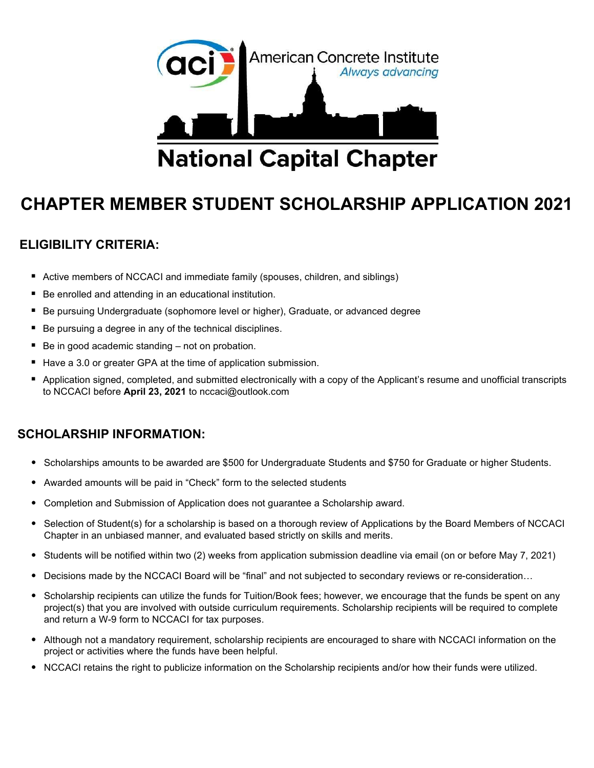

## CHAPTER MEMBER STUDENT SCHOLARSHIP APPLICATION 2021

## ELIGIBILITY CRITERIA:

- **EXTENCH MET Active members of NCCACI and immediate family (spouses, children, and siblings)**
- Be enrolled and attending in an educational institution.
- Be pursuing Undergraduate (sophomore level or higher), Graduate, or advanced degree
- Be pursuing a degree in any of the technical disciplines.
- Be in good academic standing not on probation.
- Have a 3.0 or greater GPA at the time of application submission.
- Application signed, completed, and submitted electronically with a copy of the Applicant's resume and unofficial transcripts to NCCACI before April 23, 2021 to nccaci@outlook.com

## SCHOLARSHIP INFORMATION:

- Scholarships amounts to be awarded are \$500 for Undergraduate Students and \$750 for Graduate or higher Students.
- Awarded amounts will be paid in "Check" form to the selected students
- Completion and Submission of Application does not guarantee a Scholarship award.
- Selection of Student(s) for a scholarship is based on a thorough review of Applications by the Board Members of NCCACI Chapter in an unbiased manner, and evaluated based strictly on skills and merits.
- Students will be notified within two (2) weeks from application submission deadline via email (on or before May 7, 2021)
- Decisions made by the NCCACI Board will be "final" and not subjected to secondary reviews or re-consideration…
- Scholarship recipients can utilize the funds for Tuition/Book fees; however, we encourage that the funds be spent on any project(s) that you are involved with outside curriculum requirements. Scholarship recipients will be required to complete and return a W-9 form to NCCACI for tax purposes.
- Although not a mandatory requirement, scholarship recipients are encouraged to share with NCCACI information on the project or activities where the funds have been helpful.
- NCCACI retains the right to publicize information on the Scholarship recipients and/or how their funds were utilized.